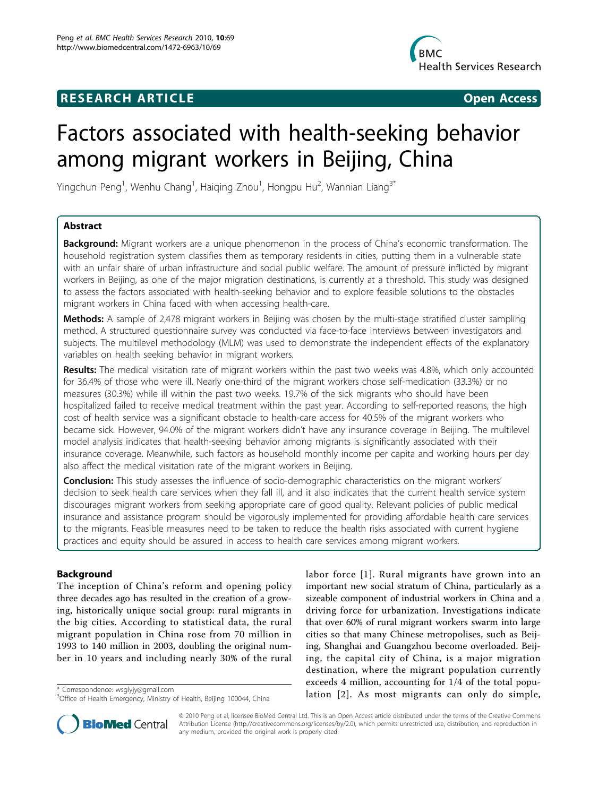# **RESEARCH ARTICLE Example 2018 CONSIDERING ACCESS**



# Factors associated with health-seeking behavior among migrant workers in Beijing, China

Yingchun Peng<sup>1</sup>, Wenhu Chang<sup>1</sup>, Haiqing Zhou<sup>1</sup>, Hongpu Hu<sup>2</sup>, Wannian Liang<sup>3\*</sup>

# Abstract

**Background:** Migrant workers are a unique phenomenon in the process of China's economic transformation. The household registration system classifies them as temporary residents in cities, putting them in a vulnerable state with an unfair share of urban infrastructure and social public welfare. The amount of pressure inflicted by migrant workers in Beijing, as one of the major migration destinations, is currently at a threshold. This study was designed to assess the factors associated with health-seeking behavior and to explore feasible solutions to the obstacles migrant workers in China faced with when accessing health-care.

Methods: A sample of 2,478 migrant workers in Beijing was chosen by the multi-stage stratified cluster sampling method. A structured questionnaire survey was conducted via face-to-face interviews between investigators and subjects. The multilevel methodology (MLM) was used to demonstrate the independent effects of the explanatory variables on health seeking behavior in migrant workers.

Results: The medical visitation rate of migrant workers within the past two weeks was 4.8%, which only accounted for 36.4% of those who were ill. Nearly one-third of the migrant workers chose self-medication (33.3%) or no measures (30.3%) while ill within the past two weeks. 19.7% of the sick migrants who should have been hospitalized failed to receive medical treatment within the past year. According to self-reported reasons, the high cost of health service was a significant obstacle to health-care access for 40.5% of the migrant workers who became sick. However, 94.0% of the migrant workers didn't have any insurance coverage in Beijing. The multilevel model analysis indicates that health-seeking behavior among migrants is significantly associated with their insurance coverage. Meanwhile, such factors as household monthly income per capita and working hours per day also affect the medical visitation rate of the migrant workers in Beijing.

Conclusion: This study assesses the influence of socio-demographic characteristics on the migrant workers' decision to seek health care services when they fall ill, and it also indicates that the current health service system discourages migrant workers from seeking appropriate care of good quality. Relevant policies of public medical insurance and assistance program should be vigorously implemented for providing affordable health care services to the migrants. Feasible measures need to be taken to reduce the health risks associated with current hygiene practices and equity should be assured in access to health care services among migrant workers.

# Background

The inception of China's reform and opening policy three decades ago has resulted in the creation of a growing, historically unique social group: rural migrants in the big cities. According to statistical data, the rural migrant population in China rose from 70 million in 1993 to 140 million in 2003, doubling the original number in 10 years and including nearly 30% of the rural

labor force [[1\]](#page-8-0). Rural migrants have grown into an important new social stratum of China, particularly as a sizeable component of industrial workers in China and a driving force for urbanization. Investigations indicate that over 60% of rural migrant workers swarm into large cities so that many Chinese metropolises, such as Beijing, Shanghai and Guangzhou become overloaded. Beijing, the capital city of China, is a major migration destination, where the migrant population currently exceeds 4 million, accounting for 1/4 of the total population [[2\]](#page-8-0). As most migrants can only do simple, \* Correspondence: [wsglyjy@gmail.com](mailto:wsglyjy@gmail.com)



© 2010 Peng et al; licensee BioMed Central Ltd. This is an Open Access article distributed under the terms of the Creative Commons Attribution License [\(http://creativecommons.org/licenses/by/2.0](http://creativecommons.org/licenses/by/2.0)), which permits unrestricted use, distribution, and reproduction in any medium, provided the original work is properly cited.

<sup>&</sup>lt;sup>3</sup>Office of Health Emergency, Ministry of Health, Beijing 100044, China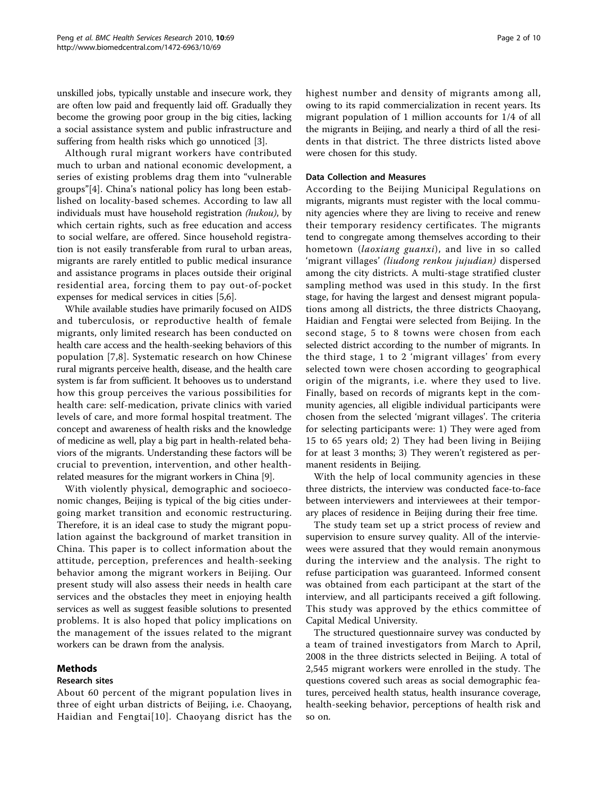unskilled jobs, typically unstable and insecure work, they are often low paid and frequently laid off. Gradually they become the growing poor group in the big cities, lacking a social assistance system and public infrastructure and suffering from health risks which go unnoticed [\[3](#page-8-0)].

Although rural migrant workers have contributed much to urban and national economic development, a series of existing problems drag them into "vulnerable groups"[[4\]](#page-8-0). China's national policy has long been established on locality-based schemes. According to law all individuals must have household registration (hukou), by which certain rights, such as free education and access to social welfare, are offered. Since household registration is not easily transferable from rural to urban areas, migrants are rarely entitled to public medical insurance and assistance programs in places outside their original residential area, forcing them to pay out-of-pocket expenses for medical services in cities [\[5,6](#page-8-0)].

While available studies have primarily focused on AIDS and tuberculosis, or reproductive health of female migrants, only limited research has been conducted on health care access and the health-seeking behaviors of this population [[7](#page-8-0),[8\]](#page-8-0). Systematic research on how Chinese rural migrants perceive health, disease, and the health care system is far from sufficient. It behooves us to understand how this group perceives the various possibilities for health care: self-medication, private clinics with varied levels of care, and more formal hospital treatment. The concept and awareness of health risks and the knowledge of medicine as well, play a big part in health-related behaviors of the migrants. Understanding these factors will be crucial to prevention, intervention, and other healthrelated measures for the migrant workers in China [[9](#page-8-0)].

With violently physical, demographic and socioeconomic changes, Beijing is typical of the big cities undergoing market transition and economic restructuring. Therefore, it is an ideal case to study the migrant population against the background of market transition in China. This paper is to collect information about the attitude, perception, preferences and health-seeking behavior among the migrant workers in Beijing. Our present study will also assess their needs in health care services and the obstacles they meet in enjoying health services as well as suggest feasible solutions to presented problems. It is also hoped that policy implications on the management of the issues related to the migrant workers can be drawn from the analysis.

# Methods

# Research sites

About 60 percent of the migrant population lives in three of eight urban districts of Beijing, i.e. Chaoyang, Haidian and Fengtai[[10\]](#page-8-0). Chaoyang disrict has the highest number and density of migrants among all, owing to its rapid commercialization in recent years. Its migrant population of 1 million accounts for 1/4 of all the migrants in Beijing, and nearly a third of all the residents in that district. The three districts listed above were chosen for this study.

#### Data Collection and Measures

According to the Beijing Municipal Regulations on migrants, migrants must register with the local community agencies where they are living to receive and renew their temporary residency certificates. The migrants tend to congregate among themselves according to their hometown *(laoxiang guanxi)*, and live in so called 'migrant villages' (liudong renkou jujudian) dispersed among the city districts. A multi-stage stratified cluster sampling method was used in this study. In the first stage, for having the largest and densest migrant populations among all districts, the three districts Chaoyang, Haidian and Fengtai were selected from Beijing. In the second stage, 5 to 8 towns were chosen from each selected district according to the number of migrants. In the third stage, 1 to 2 'migrant villages' from every selected town were chosen according to geographical origin of the migrants, i.e. where they used to live. Finally, based on records of migrants kept in the community agencies, all eligible individual participants were chosen from the selected 'migrant villages'. The criteria for selecting participants were: 1) They were aged from 15 to 65 years old; 2) They had been living in Beijing for at least 3 months; 3) They weren't registered as permanent residents in Beijing.

With the help of local community agencies in these three districts, the interview was conducted face-to-face between interviewers and interviewees at their temporary places of residence in Beijing during their free time.

The study team set up a strict process of review and supervision to ensure survey quality. All of the interviewees were assured that they would remain anonymous during the interview and the analysis. The right to refuse participation was guaranteed. Informed consent was obtained from each participant at the start of the interview, and all participants received a gift following. This study was approved by the ethics committee of Capital Medical University.

The structured questionnaire survey was conducted by a team of trained investigators from March to April, 2008 in the three districts selected in Beijing. A total of 2,545 migrant workers were enrolled in the study. The questions covered such areas as social demographic features, perceived health status, health insurance coverage, health-seeking behavior, perceptions of health risk and so on.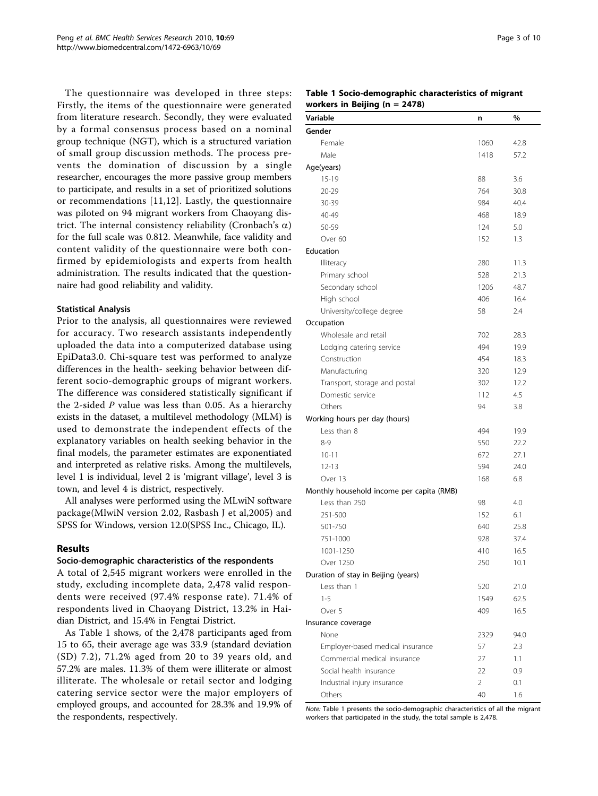The questionnaire was developed in three steps: Firstly, the items of the questionnaire were generated from literature research. Secondly, they were evaluated by a formal consensus process based on a nominal group technique (NGT), which is a structured variation of small group discussion methods. The process prevents the domination of discussion by a single researcher, encourages the more passive group members to participate, and results in a set of prioritized solutions or recommendations [[11,12\]](#page-8-0). Lastly, the questionnaire was piloted on 94 migrant workers from Chaoyang district. The internal consistency reliability (Cronbach's  $\alpha$ ) for the full scale was 0.812. Meanwhile, face validity and content validity of the questionnaire were both confirmed by epidemiologists and experts from health administration. The results indicated that the questionnaire had good reliability and validity.

# Statistical Analysis

Prior to the analysis, all questionnaires were reviewed for accuracy. Two research assistants independently uploaded the data into a computerized database using EpiData3.0. Chi-square test was performed to analyze differences in the health- seeking behavior between different socio-demographic groups of migrant workers. The difference was considered statistically significant if the 2-sided  $P$  value was less than 0.05. As a hierarchy exists in the dataset, a multilevel methodology (MLM) is used to demonstrate the independent effects of the explanatory variables on health seeking behavior in the final models, the parameter estimates are exponentiated and interpreted as relative risks. Among the multilevels, level 1 is individual, level 2 is 'migrant village', level 3 is town, and level 4 is district, respectively.

All analyses were performed using the MLwiN software package(MlwiN version 2.02, Rasbash J et al,2005) and SPSS for Windows, version 12.0(SPSS Inc., Chicago, IL).

# Results

#### Socio-demographic characteristics of the respondents

A total of 2,545 migrant workers were enrolled in the study, excluding incomplete data, 2,478 valid respondents were received (97.4% response rate). 71.4% of respondents lived in Chaoyang District, 13.2% in Haidian District, and 15.4% in Fengtai District.

As Table 1 shows, of the 2,478 participants aged from 15 to 65, their average age was 33.9 (standard deviation (SD) 7.2), 71.2% aged from 20 to 39 years old, and 57.2% are males. 11.3% of them were illiterate or almost illiterate. The wholesale or retail sector and lodging catering service sector were the major employers of employed groups, and accounted for 28.3% and 19.9% of the respondents, respectively.

#### Table 1 Socio-demographic characteristics of migrant workers in Beijing ( $n = 2478$ )

| Variable                                  | n              | %    |
|-------------------------------------------|----------------|------|
| Gender                                    |                |      |
| Female                                    | 1060           | 42.8 |
| Male                                      | 1418           | 57.2 |
| Age(years)                                |                |      |
| $15 - 19$                                 | 88             | 3.6  |
| $20 - 29$                                 | 764            | 30.8 |
| 30-39                                     | 984            | 40.4 |
| 40-49                                     | 468            | 18.9 |
| 50-59                                     | 124            | 5.0  |
| Over 60                                   | 152            | 1.3  |
| Education                                 |                |      |
| Illiteracy                                | 280            | 11.3 |
| Primary school                            | 528            | 21.3 |
| Secondary school                          | 1206           | 48.7 |
| High school                               | 406            | 16.4 |
| University/college degree                 | 58             | 2.4  |
| Occupation                                |                |      |
| Wholesale and retail                      | 702            | 28.3 |
| Lodging catering service                  | 494            | 19.9 |
| Construction                              | 454            |      |
|                                           |                | 18.3 |
| Manufacturing                             | 320            | 12.9 |
| Transport, storage and postal             | 302            | 12.2 |
| Domestic service                          | 112            | 4.5  |
| Others                                    | 94             | 3.8  |
| Working hours per day (hours)             |                |      |
| Less than 8                               | 494            | 19.9 |
| $8-9$                                     | 550            | 22.2 |
| $10 - 11$                                 | 672            | 27.1 |
| $12 - 13$                                 | 594            | 24.0 |
| Over 13                                   | 168            | 6.8  |
| Monthly household income per capita (RMB) |                |      |
| Less than 250                             | 98             | 4.0  |
| 251-500                                   | 152            | 6.1  |
| 501-750                                   | 640            | 25.8 |
| 751-1000                                  | 928            | 37.4 |
| 1001-1250                                 | 410            | 16.5 |
| Over 1250                                 | 250            | 10.1 |
| Duration of stay in Beijing (years)       |                |      |
| Less than 1                               | 520            | 21.0 |
| $1 - 5$                                   | 1549           | 62.5 |
| Over 5                                    | 409            | 16.5 |
| Insurance coverage                        |                |      |
| None                                      | 2329           | 94.0 |
| Employer-based medical insurance          | 57             | 2.3  |
| Commercial medical insurance              | 27             | 1.1  |
| Social health insurance                   | 22             | 0.9  |
| Industrial injury insurance               | $\overline{2}$ | 0.1  |
| Others                                    | 40             | 1.6  |

Note: Table 1 presents the socio-demographic characteristics of all the migrant workers that participated in the study, the total sample is 2,478.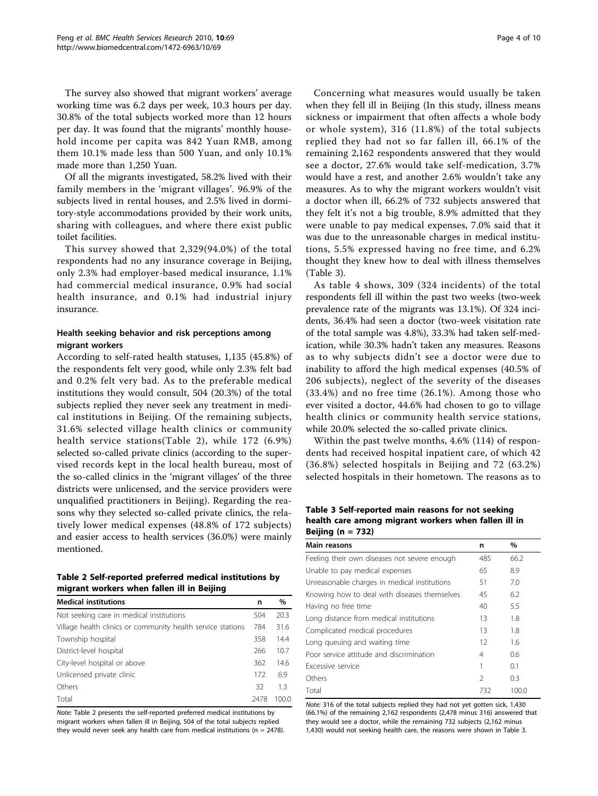The survey also showed that migrant workers' average working time was 6.2 days per week, 10.3 hours per day. 30.8% of the total subjects worked more than 12 hours per day. It was found that the migrants' monthly household income per capita was 842 Yuan RMB, among them 10.1% made less than 500 Yuan, and only 10.1% made more than 1,250 Yuan.

Of all the migrants investigated, 58.2% lived with their family members in the 'migrant villages'. 96.9% of the subjects lived in rental houses, and 2.5% lived in dormitory-style accommodations provided by their work units, sharing with colleagues, and where there exist public toilet facilities.

This survey showed that 2,329(94.0%) of the total respondents had no any insurance coverage in Beijing, only 2.3% had employer-based medical insurance, 1.1% had commercial medical insurance, 0.9% had social health insurance, and 0.1% had industrial injury insurance.

# Health seeking behavior and risk perceptions among migrant workers

According to self-rated health statuses, 1,135 (45.8%) of the respondents felt very good, while only 2.3% felt bad and 0.2% felt very bad. As to the preferable medical institutions they would consult, 504 (20.3%) of the total subjects replied they never seek any treatment in medical institutions in Beijing. Of the remaining subjects, 31.6% selected village health clinics or community health service stations(Table 2), while 172 (6.9%) selected so-called private clinics (according to the supervised records kept in the local health bureau, most of the so-called clinics in the 'migrant villages' of the three districts were unlicensed, and the service providers were unqualified practitioners in Beijing). Regarding the reasons why they selected so-called private clinics, the relatively lower medical expenses (48.8% of 172 subjects) and easier access to health services (36.0%) were mainly mentioned.

Table 2 Self-reported preferred medical institutions by migrant workers when fallen ill in Beijing

| <b>Medical institutions</b>                                 | n    | $\%$  |
|-------------------------------------------------------------|------|-------|
| Not seeking care in medical institutions                    | 504  | 20.3  |
| Village health clinics or community health service stations | 784  | 31.6  |
| Township hospital                                           | 358  | 14.4  |
| District-level hospital                                     | 266  | 10.7  |
| City-level hospital or above                                | 362  | 14.6  |
| Unlicensed private clinic                                   | 172  | 6.9   |
| Others                                                      | 32   | 1.3   |
| Total                                                       | 2478 | 100.0 |

Note: Table 2 presents the self-reported preferred medical institutions by migrant workers when fallen ill in Beijing, 504 of the total subjects replied they would never seek any health care from medical institutions ( $n = 2478$ ).

Concerning what measures would usually be taken when they fell ill in Beijing (In this study, illness means sickness or impairment that often affects a whole body or whole system), 316 (11.8%) of the total subjects replied they had not so far fallen ill, 66.1% of the remaining 2,162 respondents answered that they would see a doctor, 27.6% would take self-medication, 3.7% would have a rest, and another 2.6% wouldn't take any measures. As to why the migrant workers wouldn't visit a doctor when ill, 66.2% of 732 subjects answered that they felt it's not a big trouble, 8.9% admitted that they were unable to pay medical expenses, 7.0% said that it was due to the unreasonable charges in medical institutions, 5.5% expressed having no free time, and 6.2% thought they knew how to deal with illness themselves (Table 3).

As table [4](#page-4-0) shows, 309 (324 incidents) of the total respondents fell ill within the past two weeks (two-week prevalence rate of the migrants was 13.1%). Of 324 incidents, 36.4% had seen a doctor (two-week visitation rate of the total sample was 4.8%), 33.3% had taken self-medication, while 30.3% hadn't taken any measures. Reasons as to why subjects didn't see a doctor were due to inability to afford the high medical expenses (40.5% of 206 subjects), neglect of the severity of the diseases (33.4%) and no free time (26.1%). Among those who ever visited a doctor, 44.6% had chosen to go to village health clinics or community health service stations, while 20.0% selected the so-called private clinics.

Within the past twelve months, 4.6% (114) of respondents had received hospital inpatient care, of which 42 (36.8%) selected hospitals in Beijing and 72 (63.2%) selected hospitals in their hometown. The reasons as to

Table 3 Self-reported main reasons for not seeking health care among migrant workers when fallen ill in Beijing  $(n = 732)$ 

| Main reasons                                 | n   | %     |
|----------------------------------------------|-----|-------|
| Feeling their own diseases not severe enough | 485 | 66.2  |
| Unable to pay medical expenses               | 65  | 8.9   |
| Unreasonable charges in medical institutions | 51  | 7.0   |
| Knowing how to deal with diseases themselves | 45  | 6.2   |
| Having no free time                          | 40  | 5.5   |
| Long distance from medical institutions      | 13  | 1.8   |
| Complicated medical procedures               | 13  | 1.8   |
| Long queuing and waiting time                | 12  | 1.6   |
| Poor service attitude and discrimination     | 4   | 0.6   |
| <b>Fxcessive service</b>                     | 1   | 0.1   |
| Others                                       | 2   | 0.3   |
| Total                                        | 732 | 100.0 |

Note: 316 of the total subjects replied they had not yet gotten sick, 1,430 (66.1%) of the remaining 2,162 respondents (2,478 minus 316) answered that they would see a doctor, while the remaining 732 subjects (2,162 minus 1,430) would not seeking health care, the reasons were shown in Table 3.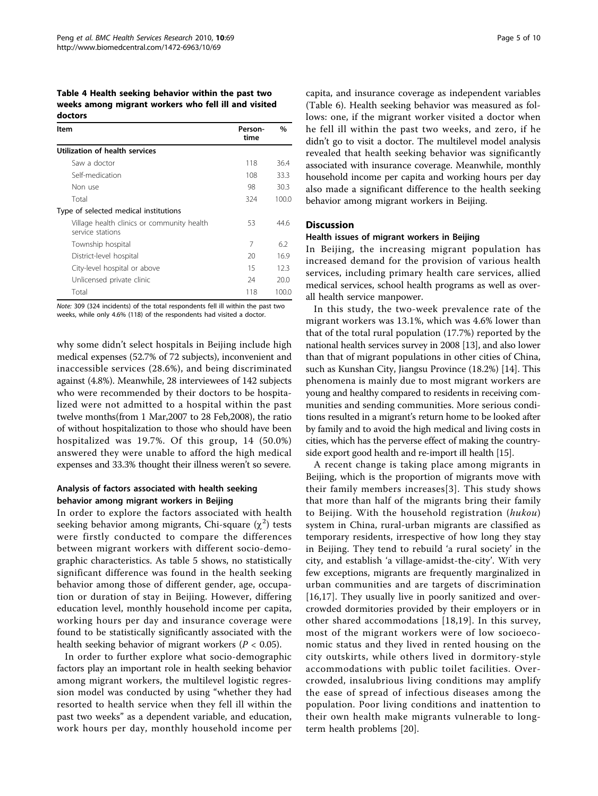<span id="page-4-0"></span>Table 4 Health seeking behavior within the past two weeks among migrant workers who fell ill and visited doctors

| ltem                                                           | Person-<br>time | $\%$  |
|----------------------------------------------------------------|-----------------|-------|
| Utilization of health services                                 |                 |       |
| Saw a doctor                                                   | 118             | 36.4  |
| Self-medication                                                | 108             | 33.3  |
| Non use                                                        | 98              | 30.3  |
| Total                                                          | 324             | 100.0 |
| Type of selected medical institutions                          |                 |       |
| Village health clinics or community health<br>service stations | 53              | 44.6  |
| Township hospital                                              | 7               | 6.2   |
| District-level hospital                                        | 20              | 16.9  |
| City-level hospital or above                                   | 15              | 12.3  |
| Unlicensed private clinic                                      | 24              | 20.0  |
| Total                                                          | 118             | 100.0 |

Note: 309 (324 incidents) of the total respondents fell ill within the past two weeks, while only 4.6% (118) of the respondents had visited a doctor.

why some didn't select hospitals in Beijing include high medical expenses (52.7% of 72 subjects), inconvenient and inaccessible services (28.6%), and being discriminated against (4.8%). Meanwhile, 28 interviewees of 142 subjects who were recommended by their doctors to be hospitalized were not admitted to a hospital within the past twelve months(from 1 Mar,2007 to 28 Feb,2008), the ratio of without hospitalization to those who should have been hospitalized was 19.7%. Of this group, 14 (50.0%) answered they were unable to afford the high medical expenses and 33.3% thought their illness weren't so severe.

# Analysis of factors associated with health seeking behavior among migrant workers in Beijing

In order to explore the factors associated with health seeking behavior among migrants, Chi-square  $(\chi^2)$  tests were firstly conducted to compare the differences between migrant workers with different socio-demographic characteristics. As table [5](#page-5-0) shows, no statistically significant difference was found in the health seeking behavior among those of different gender, age, occupation or duration of stay in Beijing. However, differing education level, monthly household income per capita, working hours per day and insurance coverage were found to be statistically significantly associated with the health seeking behavior of migrant workers ( $P < 0.05$ ).

In order to further explore what socio-demographic factors play an important role in health seeking behavior among migrant workers, the multilevel logistic regression model was conducted by using "whether they had resorted to health service when they fell ill within the past two weeks" as a dependent variable, and education, work hours per day, monthly household income per

capita, and insurance coverage as independent variables (Table [6](#page-6-0)). Health seeking behavior was measured as follows: one, if the migrant worker visited a doctor when he fell ill within the past two weeks, and zero, if he didn't go to visit a doctor. The multilevel model analysis revealed that health seeking behavior was significantly associated with insurance coverage. Meanwhile, monthly household income per capita and working hours per day also made a significant difference to the health seeking behavior among migrant workers in Beijing.

# **Discussion**

#### Health issues of migrant workers in Beijing

In Beijing, the increasing migrant population has increased demand for the provision of various health services, including primary health care services, allied medical services, school health programs as well as overall health service manpower.

In this study, the two-week prevalence rate of the migrant workers was 13.1%, which was 4.6% lower than that of the total rural population (17.7%) reported by the national health services survey in 2008 [[13](#page-8-0)], and also lower than that of migrant populations in other cities of China, such as Kunshan City, Jiangsu Province (18.2%) [[14\]](#page-8-0). This phenomena is mainly due to most migrant workers are young and healthy compared to residents in receiving communities and sending communities. More serious conditions resulted in a migrant's return home to be looked after by family and to avoid the high medical and living costs in cities, which has the perverse effect of making the countryside export good health and re-import ill health [\[15\]](#page-8-0).

A recent change is taking place among migrants in Beijing, which is the proportion of migrants move with their family members increases[[3](#page-8-0)]. This study shows that more than half of the migrants bring their family to Beijing. With the household registration (hukou) system in China, rural-urban migrants are classified as temporary residents, irrespective of how long they stay in Beijing. They tend to rebuild 'a rural society' in the city, and establish 'a village-amidst-the-city'. With very few exceptions, migrants are frequently marginalized in urban communities and are targets of discrimination [[16,17\]](#page-8-0). They usually live in poorly sanitized and overcrowded dormitories provided by their employers or in other shared accommodations [[18,19\]](#page-8-0). In this survey, most of the migrant workers were of low socioeconomic status and they lived in rented housing on the city outskirts, while others lived in dormitory-style accommodations with public toilet facilities. Overcrowded, insalubrious living conditions may amplify the ease of spread of infectious diseases among the population. Poor living conditions and inattention to their own health make migrants vulnerable to longterm health problems [\[20](#page-8-0)].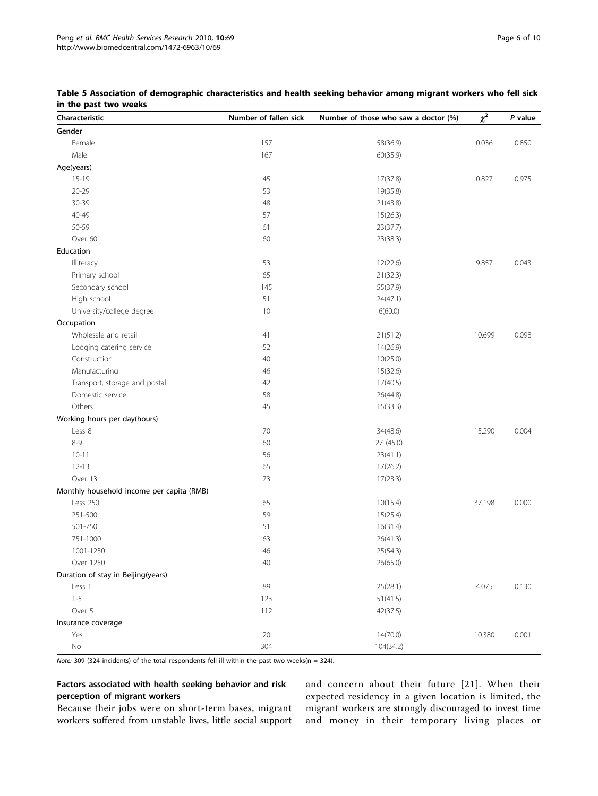| Characteristic                            | Number of fallen sick | Number of those who saw a doctor (%) | $\chi^2$ | P value |
|-------------------------------------------|-----------------------|--------------------------------------|----------|---------|
| Gender                                    |                       |                                      |          |         |
| Female                                    | 157                   | 58(36.9)                             | 0.036    | 0.850   |
| Male                                      | 167                   | 60(35.9)                             |          |         |
| Age(years)                                |                       |                                      |          |         |
| $15 - 19$                                 | 45                    | 17(37.8)                             | 0.827    | 0.975   |
| $20 - 29$                                 | 53                    | 19(35.8)                             |          |         |
| 30-39                                     | 48                    | 21(43.8)                             |          |         |
| 40-49                                     | 57                    | 15(26.3)                             |          |         |
| 50-59                                     | 61                    | 23(37.7)                             |          |         |
| Over 60                                   | 60                    | 23(38.3)                             |          |         |
| Education                                 |                       |                                      |          |         |
| Illiteracy                                | 53                    | 12(22.6)                             | 9.857    | 0.043   |
| Primary school                            | 65                    | 21(32.3)                             |          |         |
| Secondary school                          | 145                   | 55(37.9)                             |          |         |
| High school                               | 51                    | 24(47.1)                             |          |         |
| University/college degree                 | 10                    | 6(60.0)                              |          |         |
| Occupation                                |                       |                                      |          |         |
| Wholesale and retail                      | 41                    | 21(51.2)                             | 10.699   | 0.098   |
| Lodging catering service                  | 52                    | 14(26.9)                             |          |         |
| Construction                              | 40                    | 10(25.0)                             |          |         |
| Manufacturing                             | 46                    | 15(32.6)                             |          |         |
| Transport, storage and postal             | 42                    | 17(40.5)                             |          |         |
| Domestic service                          | 58                    | 26(44.8)                             |          |         |
| Others                                    | 45                    | 15(33.3)                             |          |         |
| Working hours per day(hours)              |                       |                                      |          |         |
| Less 8                                    | 70                    | 34(48.6)                             | 15.290   | 0.004   |
| $8 - 9$                                   | 60                    | 27 (45.0)                            |          |         |
| $10 - 11$                                 | 56                    | 23(41.1)                             |          |         |
| $12 - 13$                                 | 65                    | 17(26.2)                             |          |         |
| Over 13                                   | 73                    | 17(23.3)                             |          |         |
| Monthly household income per capita (RMB) |                       |                                      |          |         |
| Less 250                                  | 65                    | 10(15.4)                             | 37.198   | 0.000   |
| 251-500                                   | 59                    | 15(25.4)                             |          |         |
| 501-750                                   | 51                    | 16(31.4)                             |          |         |
| 751-1000                                  | 63                    | 26(41.3)                             |          |         |
| 1001-1250                                 | 46                    | 25(54.3)                             |          |         |
| Over 1250                                 | $40\,$                | 26(65.0)                             |          |         |
| Duration of stay in Beijing(years)        |                       |                                      |          |         |
| Less 1                                    | 89                    | 25(28.1)                             | 4.075    | 0.130   |
| $1 - 5$                                   | 123                   | 51(41.5)                             |          |         |
| Over 5                                    | 112                   | 42(37.5)                             |          |         |
| Insurance coverage                        |                       |                                      |          |         |
| Yes                                       | $20\,$                | 14(70.0)                             | 10.380   | 0.001   |
| No                                        | 304                   | 104(34.2)                            |          |         |

#### <span id="page-5-0"></span>Table 5 Association of demographic characteristics and health seeking behavior among migrant workers who fell sick in the past two weeks

Note: 309 (324 incidents) of the total respondents fell ill within the past two weeks(n = 324).

# Factors associated with health seeking behavior and risk perception of migrant workers

Because their jobs were on short-term bases, migrant workers suffered from unstable lives, little social support and concern about their future [[21](#page-8-0)]. When their expected residency in a given location is limited, the migrant workers are strongly discouraged to invest time and money in their temporary living places or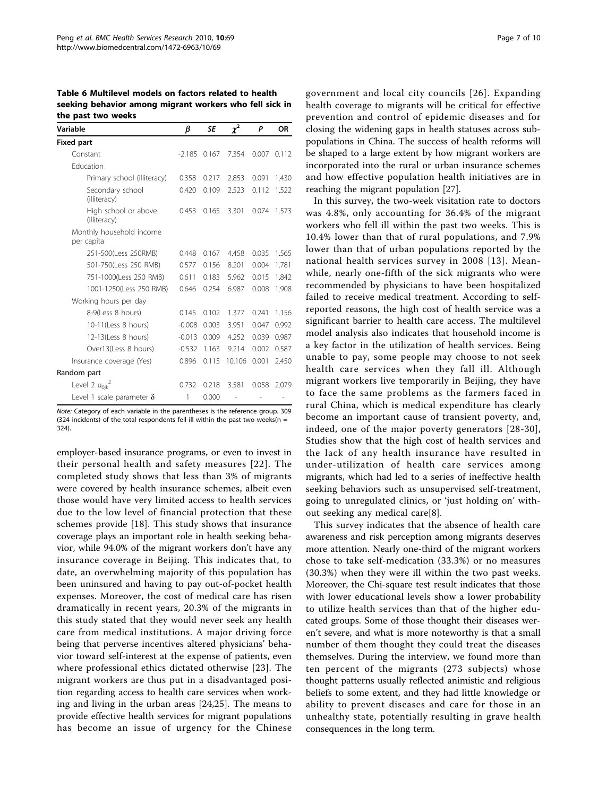<span id="page-6-0"></span>Table 6 Multilevel models on factors related to health seeking behavior among migrant workers who fell sick in the past two weeks

| Variable                               | β        | <b>SE</b> | $\chi^2$ | P     | <b>OR</b> |
|----------------------------------------|----------|-----------|----------|-------|-----------|
| <b>Fixed part</b>                      |          |           |          |       |           |
| Constant                               | $-2.185$ | 0.167     | 7.354    | 0.007 | 0.112     |
| Education                              |          |           |          |       |           |
| Primary school (illiteracy)            | 0.358    | 0.217     | 2.853    | 0.091 | 1.430     |
| Secondary school<br>(illiteracy)       | 0.420    | 0.109     | 2.523    | 0.112 | 1.522     |
| High school or above<br>(illiteracy)   | 0.453    | 0.165     | 3.301    | 0.074 | 1.573     |
| Monthly household income<br>per capita |          |           |          |       |           |
| 251-500(Less 250RMB)                   | 0.448    | 0.167     | 4.458    | 0.035 | 1.565     |
| 501-750(Less 250 RMB)                  | 0.577    | 0.156     | 8.201    | 0.004 | 1.781     |
| 751-1000(Less 250 RMB)                 | 0.611    | 0.183     | 5.962    | 0.015 | 1.842     |
| 1001-1250(Less 250 RMB)                | 0.646    | 0.254     | 6.987    | 0.008 | 1.908     |
| Working hours per day                  |          |           |          |       |           |
| 8-9(Less 8 hours)                      | 0.145    | 0.102     | 1.377    | 0.241 | 1.156     |
| 10-11(Less 8 hours)                    | $-0.008$ | 0.003     | 3.951    | 0.047 | 0.992     |
| 12-13(Less 8 hours)                    | $-0.013$ | 0.009     | 4.252    | 0.039 | 0.987     |
| Over13(Less 8 hours)                   | $-0.532$ | 1.163     | 9.214    | 0.002 | 0.587     |
| Insurance coverage (Yes)               | 0.896    | 0.115     | 10.106   | 0.001 | 2.450     |
| Random part                            |          |           |          |       |           |
| Level 2 $u_{0ik}^2$                    | 0.732    | 0.218     | 3.581    | 0.058 | 2.079     |
| Level 1 scale parameter $\delta$       | 1        | 0.000     |          |       |           |

Note: Category of each variable in the parentheses is the reference group. 309 (324 incidents) of the total respondents fell ill within the past two weeks(n = 324).

employer-based insurance programs, or even to invest in their personal health and safety measures [[22\]](#page-8-0). The completed study shows that less than 3% of migrants were covered by health insurance schemes, albeit even those would have very limited access to health services due to the low level of financial protection that these schemes provide [[18\]](#page-8-0). This study shows that insurance coverage plays an important role in health seeking behavior, while 94.0% of the migrant workers don't have any insurance coverage in Beijing. This indicates that, to date, an overwhelming majority of this population has been uninsured and having to pay out-of-pocket health expenses. Moreover, the cost of medical care has risen dramatically in recent years, 20.3% of the migrants in this study stated that they would never seek any health care from medical institutions. A major driving force being that perverse incentives altered physicians' behavior toward self-interest at the expense of patients, even where professional ethics dictated otherwise [\[23\]](#page-8-0). The migrant workers are thus put in a disadvantaged position regarding access to health care services when working and living in the urban areas [\[24](#page-8-0),[25](#page-8-0)]. The means to provide effective health services for migrant populations has become an issue of urgency for the Chinese

government and local city councils [[26\]](#page-8-0). Expanding health coverage to migrants will be critical for effective prevention and control of epidemic diseases and for closing the widening gaps in health statuses across subpopulations in China. The success of health reforms will be shaped to a large extent by how migrant workers are incorporated into the rural or urban insurance schemes and how effective population health initiatives are in reaching the migrant population [\[27\]](#page-8-0).

In this survey, the two-week visitation rate to doctors was 4.8%, only accounting for 36.4% of the migrant workers who fell ill within the past two weeks. This is 10.4% lower than that of rural populations, and 7.9% lower than that of urban populations reported by the national health services survey in 2008 [[13\]](#page-8-0). Meanwhile, nearly one-fifth of the sick migrants who were recommended by physicians to have been hospitalized failed to receive medical treatment. According to selfreported reasons, the high cost of health service was a significant barrier to health care access. The multilevel model analysis also indicates that household income is a key factor in the utilization of health services. Being unable to pay, some people may choose to not seek health care services when they fall ill. Although migrant workers live temporarily in Beijing, they have to face the same problems as the farmers faced in rural China, which is medical expenditure has clearly become an important cause of transient poverty, and, indeed, one of the major poverty generators [[28-30\]](#page-8-0), Studies show that the high cost of health services and the lack of any health insurance have resulted in under-utilization of health care services among migrants, which had led to a series of ineffective health seeking behaviors such as unsupervised self-treatment, going to unregulated clinics, or 'just holding on' without seeking any medical care[[8\]](#page-8-0).

This survey indicates that the absence of health care awareness and risk perception among migrants deserves more attention. Nearly one-third of the migrant workers chose to take self-medication (33.3%) or no measures (30.3%) when they were ill within the two past weeks. Moreover, the Chi-square test result indicates that those with lower educational levels show a lower probability to utilize health services than that of the higher educated groups. Some of those thought their diseases weren't severe, and what is more noteworthy is that a small number of them thought they could treat the diseases themselves. During the interview, we found more than ten percent of the migrants (273 subjects) whose thought patterns usually reflected animistic and religious beliefs to some extent, and they had little knowledge or ability to prevent diseases and care for those in an unhealthy state, potentially resulting in grave health consequences in the long term.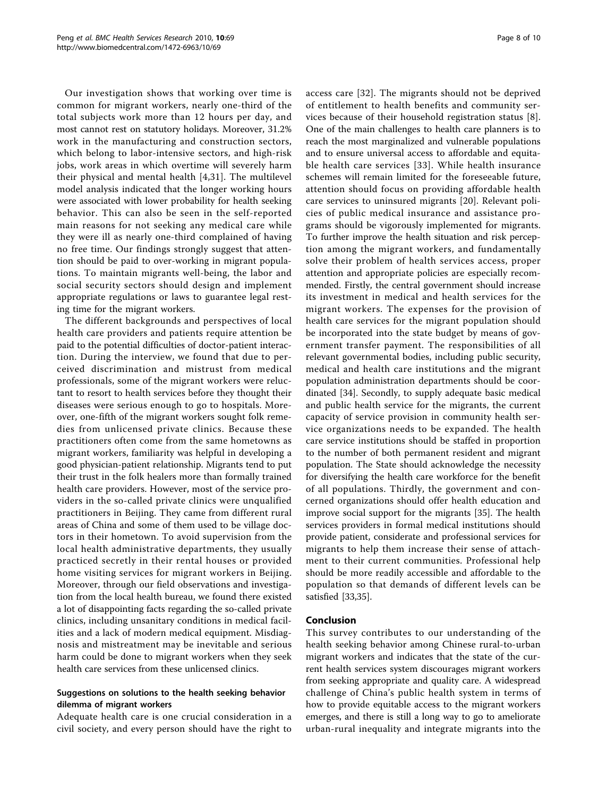Our investigation shows that working over time is common for migrant workers, nearly one-third of the total subjects work more than 12 hours per day, and most cannot rest on statutory holidays. Moreover, 31.2% work in the manufacturing and construction sectors, which belong to labor-intensive sectors, and high-risk jobs, work areas in which overtime will severely harm their physical and mental health [[4,31\]](#page-8-0). The multilevel model analysis indicated that the longer working hours were associated with lower probability for health seeking behavior. This can also be seen in the self-reported main reasons for not seeking any medical care while they were ill as nearly one-third complained of having no free time. Our findings strongly suggest that attention should be paid to over-working in migrant populations. To maintain migrants well-being, the labor and social security sectors should design and implement appropriate regulations or laws to guarantee legal resting time for the migrant workers.

The different backgrounds and perspectives of local health care providers and patients require attention be paid to the potential difficulties of doctor-patient interaction. During the interview, we found that due to perceived discrimination and mistrust from medical professionals, some of the migrant workers were reluctant to resort to health services before they thought their diseases were serious enough to go to hospitals. Moreover, one-fifth of the migrant workers sought folk remedies from unlicensed private clinics. Because these practitioners often come from the same hometowns as migrant workers, familiarity was helpful in developing a good physician-patient relationship. Migrants tend to put their trust in the folk healers more than formally trained health care providers. However, most of the service providers in the so-called private clinics were unqualified practitioners in Beijing. They came from different rural areas of China and some of them used to be village doctors in their hometown. To avoid supervision from the local health administrative departments, they usually practiced secretly in their rental houses or provided home visiting services for migrant workers in Beijing. Moreover, through our field observations and investigation from the local health bureau, we found there existed a lot of disappointing facts regarding the so-called private clinics, including unsanitary conditions in medical facilities and a lack of modern medical equipment. Misdiagnosis and mistreatment may be inevitable and serious harm could be done to migrant workers when they seek health care services from these unlicensed clinics.

# Suggestions on solutions to the health seeking behavior dilemma of migrant workers

Adequate health care is one crucial consideration in a civil society, and every person should have the right to access care [[32\]](#page-8-0). The migrants should not be deprived of entitlement to health benefits and community services because of their household registration status [[8](#page-8-0)]. One of the main challenges to health care planners is to reach the most marginalized and vulnerable populations and to ensure universal access to affordable and equitable health care services [[33](#page-8-0)]. While health insurance schemes will remain limited for the foreseeable future, attention should focus on providing affordable health care services to uninsured migrants [\[20](#page-8-0)]. Relevant policies of public medical insurance and assistance programs should be vigorously implemented for migrants. To further improve the health situation and risk perception among the migrant workers, and fundamentally solve their problem of health services access, proper attention and appropriate policies are especially recommended. Firstly, the central government should increase its investment in medical and health services for the migrant workers. The expenses for the provision of health care services for the migrant population should be incorporated into the state budget by means of government transfer payment. The responsibilities of all relevant governmental bodies, including public security, medical and health care institutions and the migrant population administration departments should be coordinated [[34](#page-8-0)]. Secondly, to supply adequate basic medical and public health service for the migrants, the current capacity of service provision in community health service organizations needs to be expanded. The health care service institutions should be staffed in proportion to the number of both permanent resident and migrant population. The State should acknowledge the necessity for diversifying the health care workforce for the benefit of all populations. Thirdly, the government and concerned organizations should offer health education and improve social support for the migrants [[35](#page-9-0)]. The health services providers in formal medical institutions should provide patient, considerate and professional services for migrants to help them increase their sense of attachment to their current communities. Professional help should be more readily accessible and affordable to the population so that demands of different levels can be satisfied [[33](#page-8-0),[35](#page-9-0)].

# Conclusion

This survey contributes to our understanding of the health seeking behavior among Chinese rural-to-urban migrant workers and indicates that the state of the current health services system discourages migrant workers from seeking appropriate and quality care. A widespread challenge of China's public health system in terms of how to provide equitable access to the migrant workers emerges, and there is still a long way to go to ameliorate urban-rural inequality and integrate migrants into the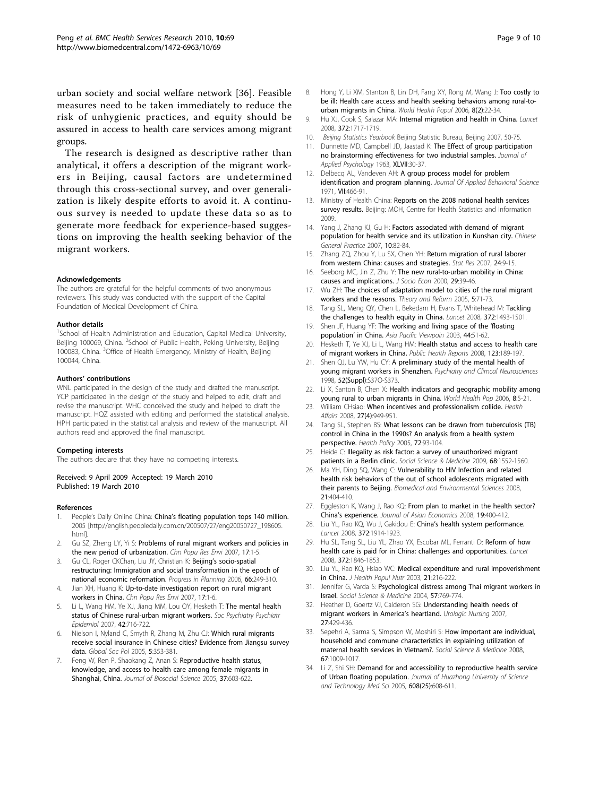<span id="page-8-0"></span>urban society and social welfare network [[36](#page-9-0)]. Feasible measures need to be taken immediately to reduce the risk of unhygienic practices, and equity should be assured in access to health care services among migrant groups.

The research is designed as descriptive rather than analytical, it offers a description of the migrant workers in Beijing, causal factors are undetermined through this cross-sectional survey, and over generalization is likely despite efforts to avoid it. A continuous survey is needed to update these data so as to generate more feedback for experience-based suggestions on improving the health seeking behavior of the migrant workers.

#### Acknowledgements

The authors are grateful for the helpful comments of two anonymous reviewers. This study was conducted with the support of the Capital Foundation of Medical Development of China.

#### Author details

<sup>1</sup>School of Health Administration and Education, Capital Medical University, Beijing 100069, China. <sup>2</sup>School of Public Health, Peking University, Beijing 100083, China. <sup>3</sup>Office of Health Emergency, Ministry of Health, Beijing 100044, China.

#### Authors' contributions

WNL participated in the design of the study and drafted the manuscript. YCP participated in the design of the study and helped to edit, draft and revise the manuscript. WHC conceived the study and helped to draft the manuscript. HQZ assisted with editing and performed the statistical analysis. HPH participated in the statistical analysis and review of the manuscript. All authors read and approved the final manuscript.

#### Competing interests

The authors declare that they have no competing interests.

#### Received: 9 April 2009 Accepted: 19 March 2010 Published: 19 March 2010

#### References

- People's Daily Online China: China's floating population tops 140 million. 2005 [\[http://english.peopledaily.com.cn/200507/27/eng20050727\\_198605.](http://english.peopledaily.com.cn/200507/27/eng20050727_198605.html) [html\]](http://english.peopledaily.com.cn/200507/27/eng20050727_198605.html).
- 2. Gu SZ, Zheng LY, Yi S: Problems of rural migrant workers and policies in the new period of urbanization. Chn Popu Res Envi 2007, 17:1-5.
- 3. Gu CL, Roger CKChan, Liu JY, Christian K: Beijing's socio-spatial restructuring: Immigration and social transformation in the epoch of national economic reformation. Progress in Planning 2006, 66:249-310.
- Jian XH, Huang K: Up-to-date investigation report on rural migrant workers in China. Chn Popu Res Envi 2007, 17:1-6.
- 5. Li L, Wang HM, Ye XJ, Jiang MM, Lou QY, Hesketh T: [The mental health](http://www.ncbi.nlm.nih.gov/pubmed/17598056?dopt=Abstract) [status of Chinese rural-urban migrant workers.](http://www.ncbi.nlm.nih.gov/pubmed/17598056?dopt=Abstract) Soc Psychiatry Psychiatr Epidemiol 2007, 42:716-722.
- 6. Nielson I, Nyland C, Smyth R, Zhang M, Zhu CJ: Which rural migrants receive social insurance in Chinese cities? Evidence from Jiangsu survey data. Global Soc Pol 2005, 5:353-381.
- 7. Feng W, Ren P, Shaokang Z, Anan S: [Reproductive health status,](http://www.ncbi.nlm.nih.gov/pubmed/16174349?dopt=Abstract) [knowledge, and access to health care among female migrants in](http://www.ncbi.nlm.nih.gov/pubmed/16174349?dopt=Abstract) [Shanghai, China.](http://www.ncbi.nlm.nih.gov/pubmed/16174349?dopt=Abstract) Journal of Biosocial Science 2005, 37:603-622.
- 8. Hong Y, Li XM, Stanton B, Lin DH, Fang XY, Rong M, Wang J: [Too costly to](http://www.ncbi.nlm.nih.gov/pubmed/18277099?dopt=Abstract) [be ill: Health care access and health seeking behaviors among rural-to](http://www.ncbi.nlm.nih.gov/pubmed/18277099?dopt=Abstract)[urban migrants in China.](http://www.ncbi.nlm.nih.gov/pubmed/18277099?dopt=Abstract) World Health Popul 2006, 8(2):22-34.
- 9. Hu XJ, Cook S, Salazar MA: [Internal migration and health in China.](http://www.ncbi.nlm.nih.gov/pubmed/18930533?dopt=Abstract) Lancet 2008, 372:1717-1719.
- 10. Beijing Statistics Yearbook Beijing Statistic Bureau, Beijing 2007, 50-75.
- 11. Dunnette MD, Campbell JD, Jaastad K: The Effect of group participation no brainstorming effectiveness for two industrial samples. Journal of Applied Psychology 1963, XLVII:30-37.
- 12. Delbecq AL, Vandeven AH: A group process model for problem identification and program planning. Journal Of Applied Behavioral Science 1971, VII:466-91.
- 13. Ministry of Health China: Reports on the 2008 national health services survey results. Beijing: MOH, Centre for Health Statistics and Information 2009.
- 14. Yang J, Zhang KJ, Gu H: Factors associated with demand of migrant population for health service and its utilization in Kunshan city. Chinese General Practice 2007, 10:82-84.
- 15. Zhang ZQ, Zhou Y, Lu SX, Chen YH: Return migration of rural laborer from western China: causes and strategies. Stat Res 2007, 24:9-15.
- 16. Seeborg MC, Jin Z, Zhu Y: The new rural-to-urban mobility in China: causes and implications. J Socio Econ 2000, 29:39-46.
- 17. Wu ZH: The choices of adaptation model to cities of the rural migrant workers and the reasons. Theory and Reform 2005, 5:71-73.
- 18. Tang SL, Meng OY, Chen L, Bekedam H, Evans T, Whitehead M: [Tackling](http://www.ncbi.nlm.nih.gov/pubmed/18930531?dopt=Abstract) [the challenges to health equity in China.](http://www.ncbi.nlm.nih.gov/pubmed/18930531?dopt=Abstract) Lancet 2008, 372:1493-1501.
- 19. Shen JF, Huang YF: The working and living space of the 'floating population' in China. Asia Pacific Viewpoin 2003, 44:51-62.
- 20. Hesketh T, Ye XJ, Li L, Wang HM: [Health status and access to health care](http://www.ncbi.nlm.nih.gov/pubmed/18457071?dopt=Abstract) [of migrant workers in China.](http://www.ncbi.nlm.nih.gov/pubmed/18457071?dopt=Abstract) Public Health Reports 2008, 123:189-197.
- 21. Shen QJ, Lu YW, Hu CY: A preliminary study of the mental health of young migrant workers in Shenzhen. Psychiatry and Climcal Neurosciences 1998, 52(Suppl):S37O-S373.
- 22. Li X, Santon B, Chen X: Health indicators and geographic mobility among young rural to urban migrants in China. World Health Pop 2006, 8:5-21.
- 23. William CHsiao: [When incentives and professionalism collide.](http://www.ncbi.nlm.nih.gov/pubmed/18607027?dopt=Abstract) Health Affairs 2008, 27(4):949-951.
- 24. Tang SL, Stephen BS: [What lessons can be drawn from tuberculosis \(TB\)](http://www.ncbi.nlm.nih.gov/pubmed/15760702?dopt=Abstract) [control in China in the 1990s? An analysis from a health system](http://www.ncbi.nlm.nih.gov/pubmed/15760702?dopt=Abstract) [perspective.](http://www.ncbi.nlm.nih.gov/pubmed/15760702?dopt=Abstract) Health Policy 2005, 72:93-104.
- 25. Heide C: Illegality as risk factor: a survey of unauthorized migrant patients in a Berlin clinic. Social Science & Medicine 2009, 68:1552-1560.
- 26. Ma YH, Ding SQ, Wang C: [Vulnerability to HIV Infection and related](http://www.ncbi.nlm.nih.gov/pubmed/19133614?dopt=Abstract) [health risk behaviors of the out of school adolescents migrated with](http://www.ncbi.nlm.nih.gov/pubmed/19133614?dopt=Abstract) [their parents to Beijing.](http://www.ncbi.nlm.nih.gov/pubmed/19133614?dopt=Abstract) Biomedical and Environmental Sciences 2008, 21:404-410.
- 27. Eggleston K, Wang J, Rao KQ: From plan to market in the health sector? China's experience. Journal of Asian Economics 2008, 19:400-412.
- 28. Liu YL, Rao KQ, Wu J, Gakidou E: China'[s health system performance.](http://www.ncbi.nlm.nih.gov/pubmed/18930536?dopt=Abstract) Lancet 2008, 372:1914-1923.
- 29. Hu SL, Tang SL, Liu YL, Zhao YX, Escobar ML, Ferranti D: [Reform of how](http://www.ncbi.nlm.nih.gov/pubmed/18930520?dopt=Abstract) [health care is paid for in China: challenges and opportunities.](http://www.ncbi.nlm.nih.gov/pubmed/18930520?dopt=Abstract) Lancet 2008, 372:1846-1853.
- 30. Liu YL, Rao KQ, Hsiao WC: [Medical expenditure and rural impoverishment](http://www.ncbi.nlm.nih.gov/pubmed/14717567?dopt=Abstract) [in China.](http://www.ncbi.nlm.nih.gov/pubmed/14717567?dopt=Abstract) J Health Popul Nutr 2003, 21:216-222.
- 31. Jennifer G, Varda S: Psychological distress among Thai migrant workers in Israel. Social Science & Medicine 2004, 57:769-774.
- 32. Heather D, Goertz VJ, Calderon SG: [Understanding health needs of](http://www.ncbi.nlm.nih.gov/pubmed/17990621?dopt=Abstract) [migrant workers in America](http://www.ncbi.nlm.nih.gov/pubmed/17990621?dopt=Abstract)'s heartland. Urologic Nursing 2007, 27:429-436.
- 33. Sepehri A, Sarma S, Simpson W, Moshiri S: How important are individual, household and commune characteristics in explaining utilization of maternal health services in Vietnam?. Social Science & Medicine 2008, 67:1009-1017.
- 34. Li Z, Shi SH: Demand for and accessibility to reproductive health service of Urban floating population. Journal of Huazhong University of Science and Technology Med Sci 2005, 608(25):608-611.